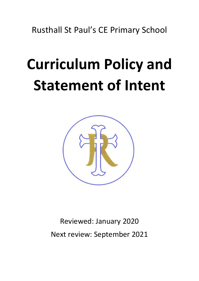Rusthall St Paul's CE Primary School

## **Curriculum Policy and Statement of Intent**



Reviewed: January 2020 Next review: September 2021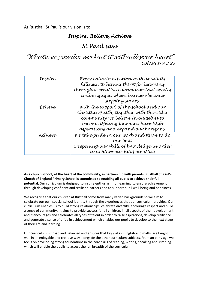At Rusthall St Paul's our vision is to:

## *Inspire, Believe, Achieve*

*St Paul says* 

*"Whatever you do, work at it with all your heart" Colossians 3:23*

| Inspire | Every chíld to experíence lífe ín all íts<br>fullness, to have a thírst for learning<br>through a creative currículum that excítes<br>and engages, where barríers become<br>stepping stones.              |
|---------|-----------------------------------------------------------------------------------------------------------------------------------------------------------------------------------------------------------|
| Believe | With the support of the school and our<br>Chrístian Faíth, together wíth the wíder<br>community we believe in ourselves to<br>become lífelong learners, have hígh<br>aspírations and expand our horízons. |
| Achieve | We take príde ín our work and strive to do<br>our best.<br>Deepening our skills of knowledge in order<br>to achieve our full potential.                                                                   |

**As a church school, at the heart of the community, in partnership with parents, Rusthall St Paul's Church of England Primary School is committed to enabling all pupils to achieve their full potential.** Our curriculum is designed to inspire enthusiasm for learning, to ensure achievement through developing confident and resilient learners and to support pupil well-being and happiness.

We recognise that our children at Rusthall come from many varied backgrounds so we aim to celebrate our own special school identity through the experiences that our curriculum provides. Our curriculum enables us to build strong relationships, celebrate diversity, encourage respect and build a sense of community. It aims to provide success for all children, in all aspects of their development and it encourages and celebrates all types of talent in order to raise aspirations, develop resilience and generate a sense of pride in achievement which enables our pupils to develop to the next stage of their life and learning.

Our curriculum is broad and balanced and ensures that key skills in English and maths are taught well in an enjoyable and creative way alongside the other curriculum subjects. From an early age we focus on developing strong foundations in the core skills of reading, writing, speaking and listening which will enable the pupils to access the full breadth of the curriculum.